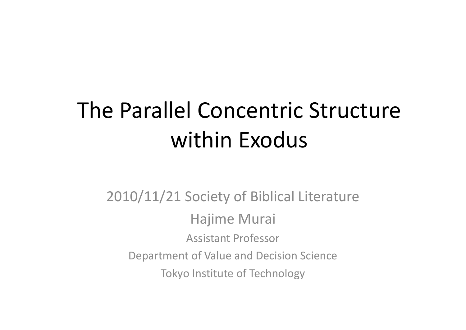# The Parallel Concentric Structure within Exodus

2010/11/21 Society of Biblical Literature Hajime Murai Assistant ProfessorDepartment of Value and Decision Science Tokyo Institute of Technology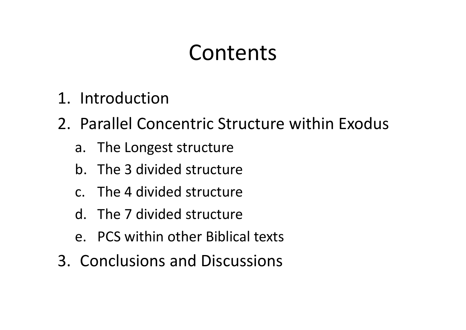### Contents

- 1. Introduction
- 2. Parallel Concentric Structure within Exodus
	- a. The Longest structure
	- b. The 3 divided structure
	- c. The 4 divided structure
	- d. The 7 divided structure
	- e. PCS within other Biblical texts
- 3. Conclusions and Discussions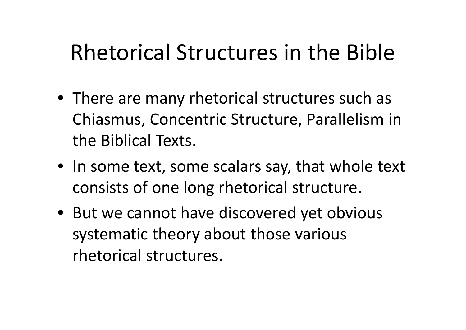# Rhetorical Structures in the Bible

- There are many rhetorical structures such as Chiasmus, Concentric Structure, Parallelism in the Biblical Texts.
- In some text, some scalars say, that whole text consists of one long rhetorical structure.
- But we cannot have discovered yet obvious systematic theory about those various rhetorical structures.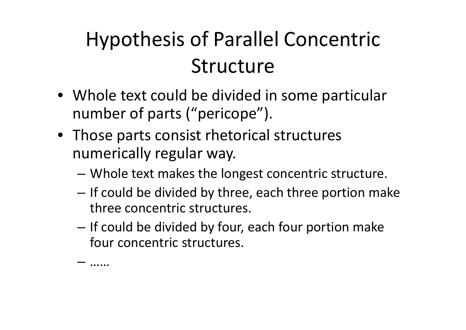# Hypothesis of Parallel Concentric Structure

- Whole text could be divided in some particular number of parts ("pericope").
- Those parts consist rhetorical structures numerically regular way.

–

……

- –Whole text makes the longest concentric structure.
- – $-$  If could be divided by three, each three portion make three concentric structures.
- – $-$  If could be divided by four, each four portion make four concentric structures.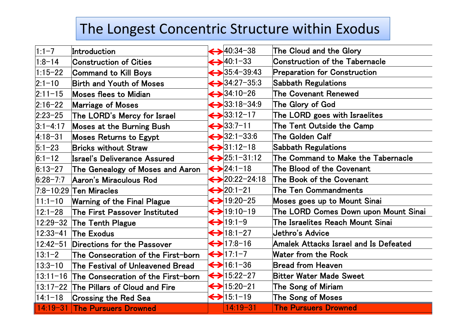### The Longest Concentric Structure within Exodus

| $1:1-7$       | Introduction                                | $\leftrightarrow$ 40:34-38    | The Cloud and the Glory                      |
|---------------|---------------------------------------------|-------------------------------|----------------------------------------------|
| $ 1:8-14 $    | <b>Construction of Cities</b>               | $\leftrightarrow$ 40:1-33     | <b>Construction of the Tabernacle</b>        |
| $1:15 - 22$   | <b>Command to Kill Boys</b>                 | $\leftrightarrow$ 35:4-39:43  | <b>Preparation for Construction</b>          |
| $ 2:1-10 $    | <b>Birth and Youth of Moses</b>             | $\leftrightarrow$ 34:27-35:3  | <b>Sabbath Regulations</b>                   |
| $ 2:11 - 15 $ | <b>Moses flees to Midian</b>                | $\leftrightarrow$ 34.10-26    | <b>The Covenant Renewed</b>                  |
| $ 2:16 - 22 $ | <b>Marriage of Moses</b>                    | $\leftrightarrow$ 33:18-34:9  | The Glory of God                             |
| $ 2:23 - 25 $ | The LORD's Mercy for Israel                 | $\leftrightarrow$ 33:12-17    | The LORD goes with Israelites                |
| $ 3:1-4:17$   | <b>Moses at the Burning Bush</b>            | $\leftrightarrow$ 33:7-11     | The Tent Outside the Camp                    |
| $ 4:18 - 31$  | <b>Moses Returns to Egypt</b>               | $\leftrightarrow$ 32:1-33:6   | <b>The Golden Calf</b>                       |
| $5:1-23$      | <b>Bricks without Straw</b>                 | $\leftrightarrow$ 31.12-18    | <b>Sabbath Regulations</b>                   |
| $6:1-12$      | <b>Israel's Deliverance Assured</b>         | $\leftrightarrow$ 25:1-31:12  | The Command to Make the Tabernacle           |
| $ 6:13-27 $   | The Genealogy of Moses and Aaron            | $\leftrightarrow$ 24:1-18     | The Blood of the Covenant                    |
| $6:28 - 7:7$  | Aaron's Miraculous Rod                      | $\leftrightarrow$ 20.22-24.18 | The Book of the Covenant                     |
|               | 7:8-10:29 Ten Miracles                      | $\leftrightarrow$ 20.1-21     | <b>The Ten Commandments</b>                  |
| $ 11:1-10 $   | <b>Warning of the Final Plague</b>          | $\leftrightarrow$ 19:20-25    | <b>Moses goes up to Mount Sinai</b>          |
| $12:1-28$     | <b>The First Passover Instituted</b>        | $\leftrightarrow$ 19:10-19    | The LORD Comes Down upon Mount Sinai         |
| $ 12:29-32 $  | The Tenth Plague                            | $\leftrightarrow$ 19:1-9      | The Israelites Reach Mount Sinai             |
| $ 12:33 - 41$ | <b>The Exodus</b>                           | $\leftrightarrow$ 18:1-27     | Jethro's Advice                              |
| $ 12:42 - 51$ | Directions for the Passover                 | $\leftrightarrow$ 17:8-16     | <b>Amalek Attacks Israel and Is Defeated</b> |
| $13:1 - 2$    | The Consecration of the First-born          | $\leftrightarrow$ 17:1-7      | Water from the Rock                          |
| $ 13:3-10 $   | The Festival of Unleavened Bread            | $\leftrightarrow$ 16:1-36     | <b>Bread from Heaven</b>                     |
|               | 13:11-16 The Consecration of the First-born | $\leftrightarrow$ 15:22-27    | <b>Bitter Water Made Sweet</b>               |
|               | 13:17-22 The Pillars of Cloud and Fire      | $\leftrightarrow$ 15:20-21    | The Song of Miriam                           |
| $ 14:1 - 18$  | <b>Crossing the Red Sea</b>                 | $\leftrightarrow$ 15:1-19     | <b>The Song of Moses</b>                     |
|               | 14:19-31 The Pursuers Drowned               | $14:19 - 31$                  | <b>The Pursuers Drowned</b>                  |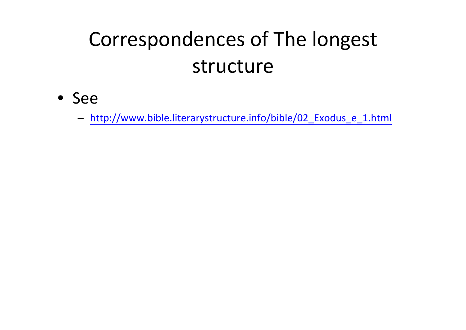# Correspondences of The longest structure

• See

- http://www.bible.literarystructure.info/bible/02\_Exodus\_e\_1.html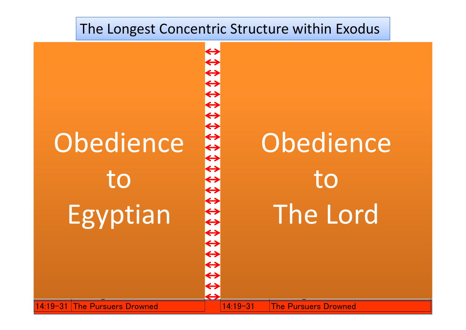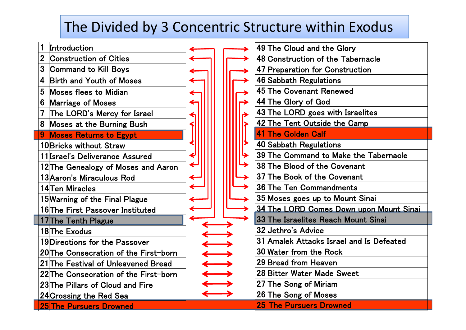### The Divided by 3 Concentric Structure within Exodus

| 1            | Introduction                          |  |  |  | 49 The Cloud an   |
|--------------|---------------------------------------|--|--|--|-------------------|
| $\mathbf{2}$ | <b>Construction of Cities</b>         |  |  |  | 48 Construction   |
| 3            | Command to Kill Boys                  |  |  |  | 47 Preparation f  |
| 4            | <b>Birth and Youth of Moses</b>       |  |  |  | 46 Sabbath Regu   |
| 5            | <b>Moses flees to Midian</b>          |  |  |  | 45 The Covenan    |
| 6            | <b>Marriage of Moses</b>              |  |  |  | 44 The Glory of   |
| 7            | The LORD's Mercy for Israel           |  |  |  | 43 The LORD go    |
| 8            | <b>Moses at the Burning Bush</b>      |  |  |  | 42 The Tent Out   |
| 9            | <b>Moses Returns to Egypt</b>         |  |  |  | 41 The Golden C   |
|              | 10 Bricks without Straw               |  |  |  | 40 Sabbath Regu   |
|              | 11 Israel's Deliverance Assured       |  |  |  | 39 The Comman     |
|              | 12 The Genealogy of Moses and Aaron   |  |  |  | 38 The Blood of   |
|              | 13 Aaron's Miraculous Rod             |  |  |  | 37 The Book of t  |
|              | 14 Ten Miracles                       |  |  |  | 36 The Ten Com    |
|              | 15 Warning of the Final Plague        |  |  |  | 35 Moses goes u   |
|              | 16 The First Passover Instituted      |  |  |  | 34 The LORD Co    |
|              | 17 The Tenth Plague                   |  |  |  | 33 The Israelites |
|              | 18The Exodus                          |  |  |  | 32 Jethro's Advi  |
|              | 19 Directions for the Passover        |  |  |  | 31 Amalek Attac   |
|              | 20 The Consecration of the First-born |  |  |  | 30 Water from th  |
|              | 21 The Festival of Unleavened Bread   |  |  |  | 29 Bread from H   |
|              | 22 The Consecration of the First-born |  |  |  | 28 Bitter Water I |
|              | 23 The Pillars of Cloud and Fire      |  |  |  | 27 The Song of I  |
|              | 24 Crossing the Red Sea               |  |  |  | 26 The Song of I  |
|              | <b>25 The Pursuers Drowned</b>        |  |  |  | 25 The Pursuers   |

| $\blacktriangleright$ |                                          | 49 The Cloud and the Glory              |  |  |  |
|-----------------------|------------------------------------------|-----------------------------------------|--|--|--|
| ≯                     |                                          | 48 Construction of the Tabernacle       |  |  |  |
| ≯                     |                                          | 47 Preparation for Construction         |  |  |  |
| ≯                     |                                          | 46 Sabbath Regulations                  |  |  |  |
| ≯                     |                                          | 45 The Covenant Renewed                 |  |  |  |
| $\blacktriangleright$ |                                          | 44 The Glory of God                     |  |  |  |
| →                     |                                          | 43 The LORD goes with Israelites        |  |  |  |
|                       |                                          | 42 The Tent Outside the Camp            |  |  |  |
| $\bigcup$             |                                          | 41 The Golden Calf                      |  |  |  |
|                       |                                          | 40 Sabbath Regulations                  |  |  |  |
| ≯                     |                                          | 39 The Command to Make the Tabernacle   |  |  |  |
| →                     |                                          | 38 The Blood of the Covenant            |  |  |  |
| ≯                     |                                          | 37 The Book of the Covenant             |  |  |  |
| ≯                     |                                          | 36 The Ten Commandments                 |  |  |  |
| ≯                     | 35 Moses goes up to Mount Sinai          |                                         |  |  |  |
| ▶                     |                                          | 34 The LORD Comes Down upon Mount Sinai |  |  |  |
| ▶                     |                                          | 33 The Israelites Reach Mount Sinai     |  |  |  |
|                       |                                          | 32 Jethro's Advice                      |  |  |  |
|                       | 31 Amalek Attacks Israel and Is Defeated |                                         |  |  |  |
|                       |                                          | 30 Water from the Rock                  |  |  |  |
|                       | 29 Bread from Heaven                     |                                         |  |  |  |
|                       |                                          | 28 Bitter Water Made Sweet              |  |  |  |
|                       |                                          | 27 The Song of Miriam                   |  |  |  |
|                       |                                          | 26 The Song of Moses                    |  |  |  |
|                       |                                          | 25 The Pursuers Drowned                 |  |  |  |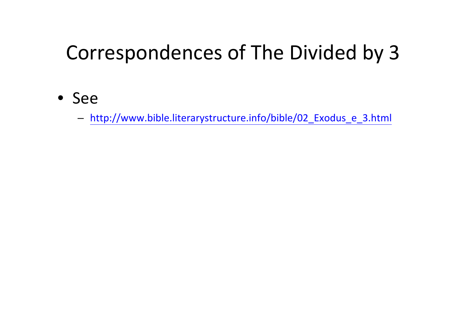### Correspondences of The Divided by 3

• See

- http://www.bible.literarystructure.info/bible/02\_Exodus\_e\_3.html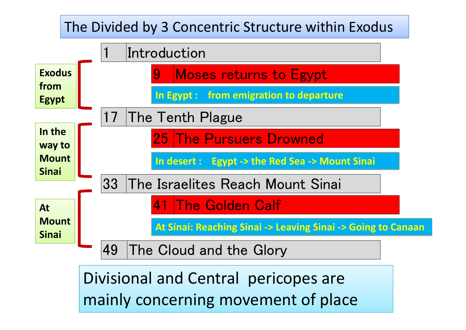#### 9 Moses returns to Egypt 17 The Tenth Plague 25 The Pursuers Drowned 33 The Israelites Reach Mount Sinai 41 The Golden Calf 1 Introduction 49 The Cloud and the Glory **ExodusfromEgypt In theway to MountSinaiAtMountSinai**The Divided by 3 Concentric Structure within Exodus **In Egypt : from emigration to departure In desert : Egypt ‐ > the Red Sea ‐> Mount Sinai At Sinai: Reaching Sinai ‐<sup>&</sup>gt; Leaving Sinai ‐<sup>&</sup>gt; Going to Canaan**

Divisional and Central pericopes are mainly concerning movement of place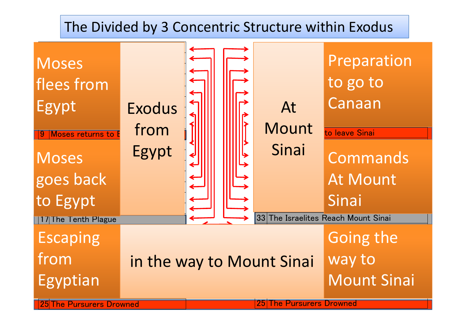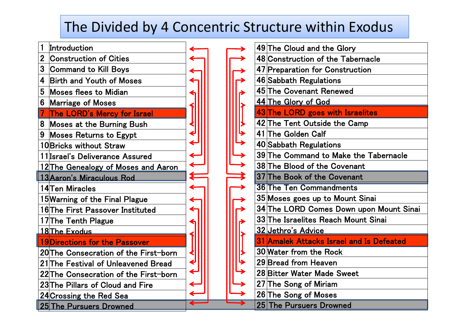### The Divided by 4 Concentric Structure within Exodus

| 1                       | Introduction                          |  |
|-------------------------|---------------------------------------|--|
| $\mathbf{2}$            | <b>Construction of Cities</b>         |  |
| 3                       | <b>Command to Kill Boys</b>           |  |
| 4                       | <b>Birth and Youth of Moses</b>       |  |
| 5                       | Moses flees to Midian                 |  |
| 6                       | <b>Marriage of Moses</b>              |  |
| $\overline{\mathbf{7}}$ | <b>The LORD's Mercy for Israel</b>    |  |
| 8                       | <b>Moses at the Burning Bush</b>      |  |
| 9                       | <b>Moses Returns to Egypt</b>         |  |
|                         | 10 Bricks without Straw               |  |
|                         | 11 Israel's Deliverance Assured       |  |
|                         | 12 The Genealogy of Moses and Aaron   |  |
|                         | 13 Aaron's Miraculous Rod             |  |
|                         |                                       |  |
|                         | 14 Ten Miracles                       |  |
|                         | 15 Warning of the Final Plague        |  |
|                         | 16 The First Passover Instituted      |  |
|                         | 17The Tenth Plague                    |  |
|                         | 18 The Exodus                         |  |
|                         | 19 Directions for the Passover        |  |
|                         | 20 The Consecration of the First-born |  |
|                         | 21 The Festival of Unleavened Bread   |  |
|                         | 22 The Consecration of the First-born |  |
|                         | 23 The Pillars of Cloud and Fire      |  |
|                         | <b>24 Crossing the Red Sea</b>        |  |

|  |  | 49 The Cloud and the Glory               |
|--|--|------------------------------------------|
|  |  | 48 Construction of the Tabernacle        |
|  |  | 47 Preparation for Construction          |
|  |  | 46 Sabbath Regulations                   |
|  |  | 45 The Covenant Renewed                  |
|  |  | 44 The Glory of God                      |
|  |  | 43 The LORD goes with Israelites         |
|  |  | 42 The Tent Outside the Camp             |
|  |  | 41 The Golden Calf                       |
|  |  | 40 Sabbath Regulations                   |
|  |  | 39 The Command to Make the Tabernacle    |
|  |  | 38 The Blood of the Covenant             |
|  |  | 37 The Book of the Covenant              |
|  |  | <b>36 The Ten Commandments</b>           |
|  |  | 35 Moses goes up to Mount Sinai          |
|  |  | 34 The LORD Comes Down upon Mount Sinai  |
|  |  | 33 The Israelites Reach Mount Sinai      |
|  |  | 32 Jethro's Advice                       |
|  |  | 31 Amalek Attacks Israel and Is Defeated |
|  |  | 30 Water from the Rock                   |
|  |  | 29 Bread from Heaven                     |
|  |  | 28 Bitter Water Made Sweet               |
|  |  | 27 The Song of Miriam                    |
|  |  | 26 The Song of Moses                     |
|  |  | 25 The Pursuers Drowned                  |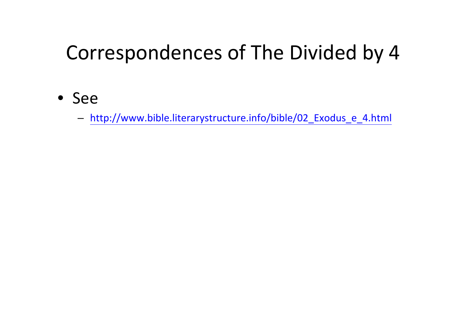### Correspondences of The Divided by 4

• See

- http://www.bible.literarystructure.info/bible/02\_Exodus\_e\_4.html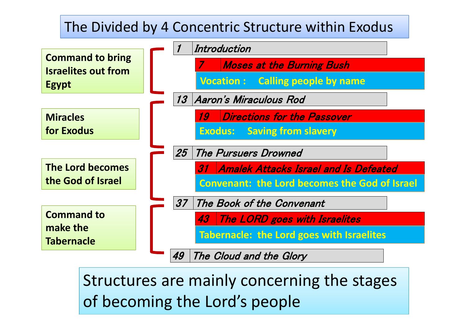

Structures are mainly concerning the stages of becoming the Lord's people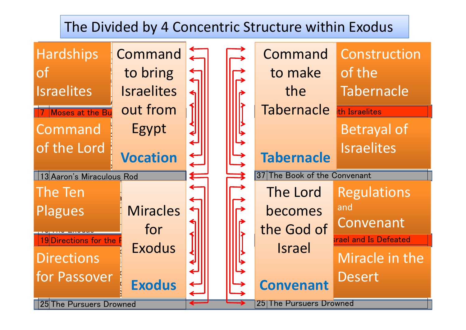#### The Divided by 4 Concentric Structure within Exodus

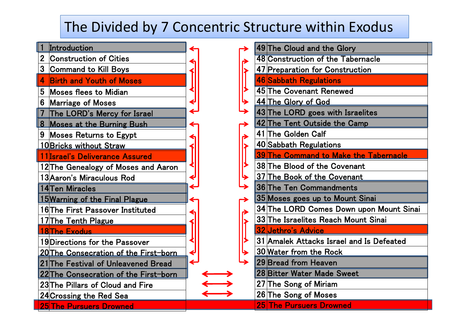### The Divided by 7 Concentric Structure within Exodus



|                                                                                                                                                                                                                                                                                                                                                                                                                                | 49 The Cloud and the Glory                   |
|--------------------------------------------------------------------------------------------------------------------------------------------------------------------------------------------------------------------------------------------------------------------------------------------------------------------------------------------------------------------------------------------------------------------------------|----------------------------------------------|
|                                                                                                                                                                                                                                                                                                                                                                                                                                | 48 Construction of the Tabernacle            |
|                                                                                                                                                                                                                                                                                                                                                                                                                                | 47 Preparation for Construction              |
|                                                                                                                                                                                                                                                                                                                                                                                                                                | <b>46 Sabbath Regulations</b>                |
|                                                                                                                                                                                                                                                                                                                                                                                                                                | 45 The Covenant Renewed                      |
|                                                                                                                                                                                                                                                                                                                                                                                                                                | 44 The Glory of God                          |
|                                                                                                                                                                                                                                                                                                                                                                                                                                | 43 The LORD goes with Israelites             |
|                                                                                                                                                                                                                                                                                                                                                                                                                                | 42 The Tent Outside the Camp                 |
|                                                                                                                                                                                                                                                                                                                                                                                                                                | 41 The Golden Calf                           |
|                                                                                                                                                                                                                                                                                                                                                                                                                                | 40 Sabbath Regulations                       |
| $\frac{1}{\sqrt{1-\frac{1}{\sqrt{1-\frac{1}{\sqrt{1-\frac{1}{\sqrt{1-\frac{1}{\sqrt{1-\frac{1}{\sqrt{1-\frac{1}{\sqrt{1-\frac{1}{\sqrt{1-\frac{1}{\sqrt{1-\frac{1}{\sqrt{1-\frac{1}{\sqrt{1-\frac{1}{\sqrt{1-\frac{1}{\sqrt{1-\frac{1}{\sqrt{1-\frac{1}{\sqrt{1-\frac{1}{\sqrt{1-\frac{1}{\sqrt{1-\frac{1}{\sqrt{1-\frac{1}{1+\frac{1}{\sqrt{1+\frac{1}{1+\frac{1}{1+\frac{1}{1+\frac{1}{1+\frac{1}{1+\frac{1}{1+\frac{1}{1+\$ | <b>39 The Command to Make the Tabernacle</b> |
|                                                                                                                                                                                                                                                                                                                                                                                                                                | 38 The Blood of the Covenant                 |
|                                                                                                                                                                                                                                                                                                                                                                                                                                | 37 The Book of the Covenant                  |
|                                                                                                                                                                                                                                                                                                                                                                                                                                | 36 The Ten Commandments                      |
|                                                                                                                                                                                                                                                                                                                                                                                                                                | 35 Moses goes up to Mount Sinai              |
|                                                                                                                                                                                                                                                                                                                                                                                                                                | 34 The LORD Comes Down upon Mount Sinai      |
|                                                                                                                                                                                                                                                                                                                                                                                                                                | 33 The Israelites Reach Mount Sinai          |
|                                                                                                                                                                                                                                                                                                                                                                                                                                | <b>32 Jethro's Advice</b>                    |
|                                                                                                                                                                                                                                                                                                                                                                                                                                | 31 Amalek Attacks Israel and Is Defeated     |
|                                                                                                                                                                                                                                                                                                                                                                                                                                | 30 Water from the Rock                       |
|                                                                                                                                                                                                                                                                                                                                                                                                                                | 29 Bread from Heaven                         |
|                                                                                                                                                                                                                                                                                                                                                                                                                                | <b>28 Bitter Water Made Sweet</b>            |
|                                                                                                                                                                                                                                                                                                                                                                                                                                | 27 The Song of Miriam                        |
|                                                                                                                                                                                                                                                                                                                                                                                                                                | 26 The Song of Moses                         |
|                                                                                                                                                                                                                                                                                                                                                                                                                                | <u>25 The Pursuers Drowned</u>               |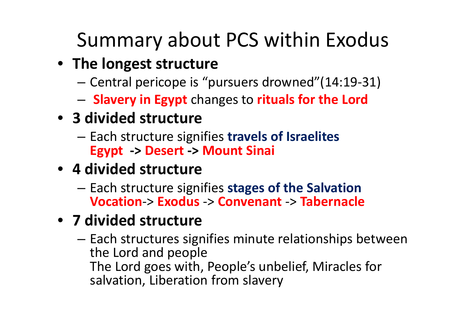# Summary about PCS within Exodus

- **The longest structure**
	- Central pericope is "pursuers drowned"(14:19‐31)
	- **Slavery in Egypt** changes to **rituals for the Lord**

### • **3 divided structure**

 Each structure signifies **travels of Israelites Egypt ‐<sup>&</sup>gt; Desert ‐<sup>&</sup>gt; Mount Sinai**

### • **4 divided structure**

– Each structure signifies **stages of the Salvation Vocation**‐<sup>&</sup>gt; **Exodus** ‐<sup>&</sup>gt; **Convenant** ‐<sup>&</sup>gt; **Tabernacle**

### • **7 divided structure**

– $-$  Each structures signifies minute relationships between the Lord and people The Lord goes with, People's unbelief, Miracles for salvation, Liberation from slavery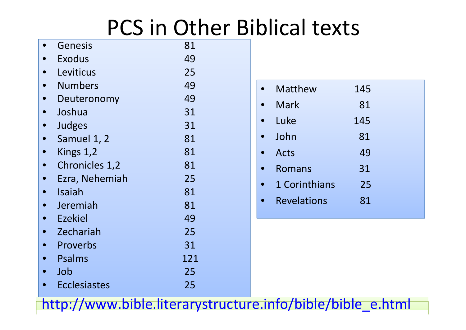# PCS in Other Biblical texts

| Genesis               | 81  |
|-----------------------|-----|
| Exodus                | 49  |
| Leviticus             | 25  |
| <b>Numbers</b>        | 49  |
| Deuteronomy           | 49  |
| Joshua                | 31  |
| Judges                | 31  |
| Samuel 1, 2           | 81  |
| Kings 1,2             | 81  |
| <b>Chronicles 1,2</b> | 81  |
| Ezra, Nehemiah        | 25  |
| Isaiah                | 81  |
| Jeremiah              | 81  |
| <b>Ezekiel</b>        | 49  |
| Zechariah             | 25  |
| Proverbs              | 31  |
| Psalms                | 121 |
| Job                   | 25  |
| Ecclesiastes          | 25  |

|  | <b>Matthew</b>     | 145 |  |
|--|--------------------|-----|--|
|  | Mark               | 81  |  |
|  | Luke               | 145 |  |
|  | John               | 81  |  |
|  | <b>Acts</b>        | 49  |  |
|  | Romans             | 31  |  |
|  | 1 Corinthians      | 25  |  |
|  | <b>Revelations</b> | 81  |  |
|  |                    |     |  |

http://www.bible.literarystructure.info/bible/bible\_e.html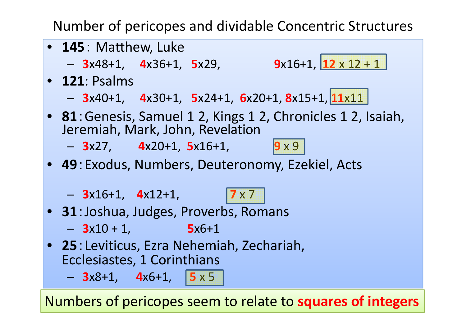Number of pericopes and dividable Concentric Structures



Numbers of pericopes seem to relate to **squares of integers**